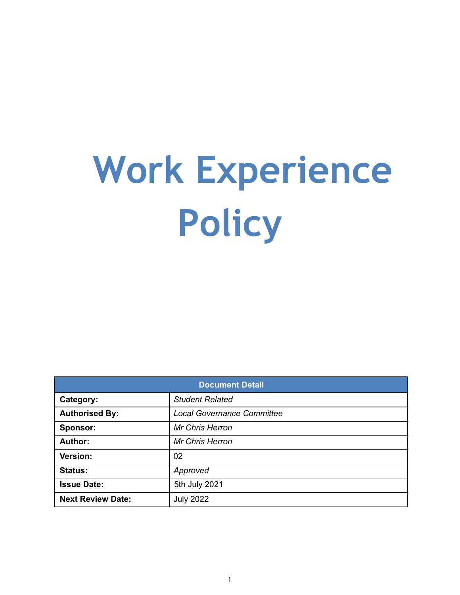# **Work Experience Policy**

| <b>Document Detail</b>   |                                   |  |  |  |
|--------------------------|-----------------------------------|--|--|--|
| Category:                | <b>Student Related</b>            |  |  |  |
| <b>Authorised By:</b>    | <b>Local Governance Committee</b> |  |  |  |
| Sponsor:                 | <b>Mr Chris Herron</b>            |  |  |  |
| <b>Author:</b>           | <b>Mr Chris Herron</b>            |  |  |  |
| Version:                 | 02                                |  |  |  |
| <b>Status:</b>           | Approved                          |  |  |  |
| <b>Issue Date:</b>       | 5th July 2021                     |  |  |  |
| <b>Next Review Date:</b> | <b>July 2022</b>                  |  |  |  |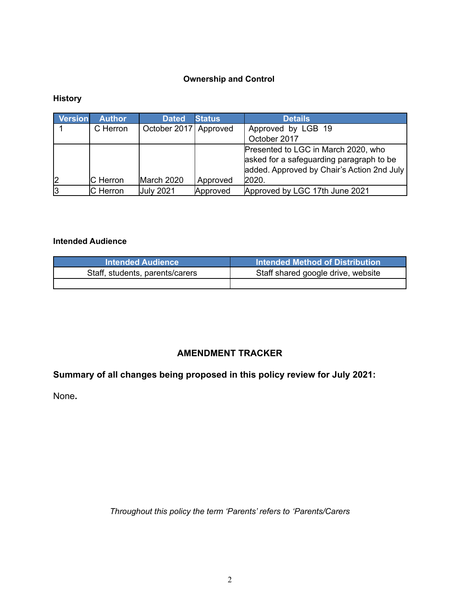# **Ownership and Control**

# **History**

| <b>Version</b> | <b>Author</b>   | <b>Dated</b>          | <b>Status</b> | <b>Details</b>                                                                                                                         |
|----------------|-----------------|-----------------------|---------------|----------------------------------------------------------------------------------------------------------------------------------------|
|                | C Herron        | October 2017 Approved |               | Approved by LGB 19                                                                                                                     |
|                |                 |                       |               | October 2017                                                                                                                           |
| 12             | <b>C</b> Herron | March 2020            | Approved      | Presented to LGC in March 2020, who<br>asked for a safeguarding paragraph to be<br>added. Approved by Chair's Action 2nd July<br>2020. |
| l3             | C Herron        | <b>July 2021</b>      | Approved      | Approved by LGC 17th June 2021                                                                                                         |

# **Intended Audience**

| <b>Intended Audience</b>        | Intended Method of Distribution    |
|---------------------------------|------------------------------------|
| Staff, students, parents/carers | Staff shared google drive, website |
|                                 |                                    |

# **AMENDMENT TRACKER**

# **Summary of all changes being proposed in this policy review for July 2021:**

None**.**

*Throughout this policy the term 'Parents' refers to 'Parents/Carers*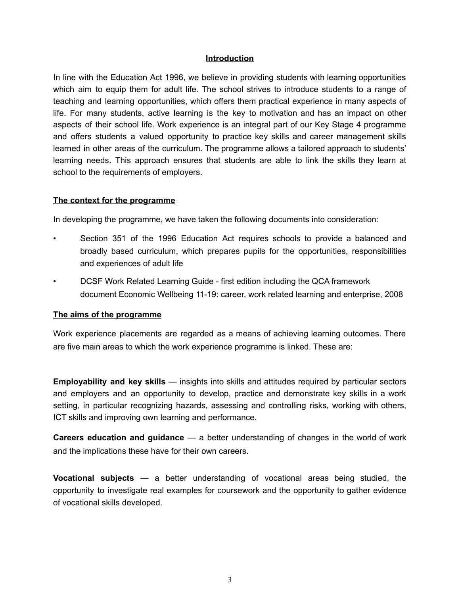#### **Introduction**

In line with the Education Act 1996, we believe in providing students with learning opportunities which aim to equip them for adult life. The school strives to introduce students to a range of teaching and learning opportunities, which offers them practical experience in many aspects of life. For many students, active learning is the key to motivation and has an impact on other aspects of their school life. Work experience is an integral part of our Key Stage 4 programme and offers students a valued opportunity to practice key skills and career management skills learned in other areas of the curriculum. The programme allows a tailored approach to students' learning needs. This approach ensures that students are able to link the skills they learn at school to the requirements of employers.

#### **The context for the programme**

In developing the programme, we have taken the following documents into consideration:

- Section 351 of the 1996 Education Act requires schools to provide a balanced and broadly based curriculum, which prepares pupils for the opportunities, responsibilities and experiences of adult life
- DCSF Work Related Learning Guide first edition including the QCA framework document Economic Wellbeing 11-19: career, work related learning and enterprise, 2008

#### **The aims of the programme**

Work experience placements are regarded as a means of achieving learning outcomes. There are five main areas to which the work experience programme is linked. These are:

**Employability and key skills** — insights into skills and attitudes required by particular sectors and employers and an opportunity to develop, practice and demonstrate key skills in a work setting, in particular recognizing hazards, assessing and controlling risks, working with others, ICT skills and improving own learning and performance.

**Careers education and guidance** — a better understanding of changes in the world of work and the implications these have for their own careers.

**Vocational subjects** — a better understanding of vocational areas being studied, the opportunity to investigate real examples for coursework and the opportunity to gather evidence of vocational skills developed.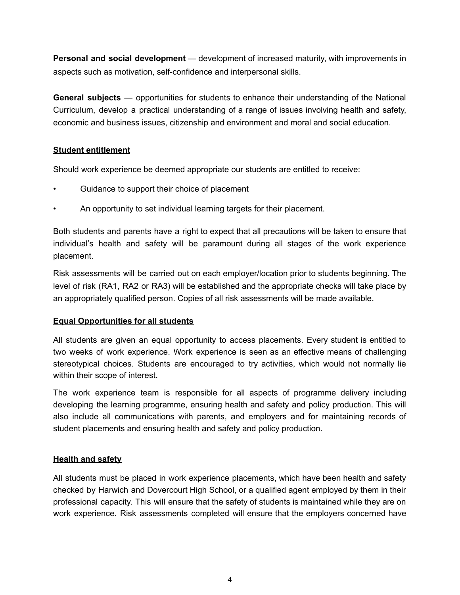**Personal and social development** — development of increased maturity, with improvements in aspects such as motivation, self-confidence and interpersonal skills.

**General subjects** — opportunities for students to enhance their understanding of the National Curriculum, develop a practical understanding of a range of issues involving health and safety, economic and business issues, citizenship and environment and moral and social education.

# **Student entitlement**

Should work experience be deemed appropriate our students are entitled to receive:

- Guidance to support their choice of placement
- An opportunity to set individual learning targets for their placement.

Both students and parents have a right to expect that all precautions will be taken to ensure that individual's health and safety will be paramount during all stages of the work experience placement.

Risk assessments will be carried out on each employer/location prior to students beginning. The level of risk (RA1, RA2 or RA3) will be established and the appropriate checks will take place by an appropriately qualified person. Copies of all risk assessments will be made available.

# **Equal Opportunities for all students**

All students are given an equal opportunity to access placements. Every student is entitled to two weeks of work experience. Work experience is seen as an effective means of challenging stereotypical choices. Students are encouraged to try activities, which would not normally lie within their scope of interest.

The work experience team is responsible for all aspects of programme delivery including developing the learning programme, ensuring health and safety and policy production. This will also include all communications with parents, and employers and for maintaining records of student placements and ensuring health and safety and policy production.

# **Health and safety**

All students must be placed in work experience placements, which have been health and safety checked by Harwich and Dovercourt High School, or a qualified agent employed by them in their professional capacity. This will ensure that the safety of students is maintained while they are on work experience. Risk assessments completed will ensure that the employers concerned have